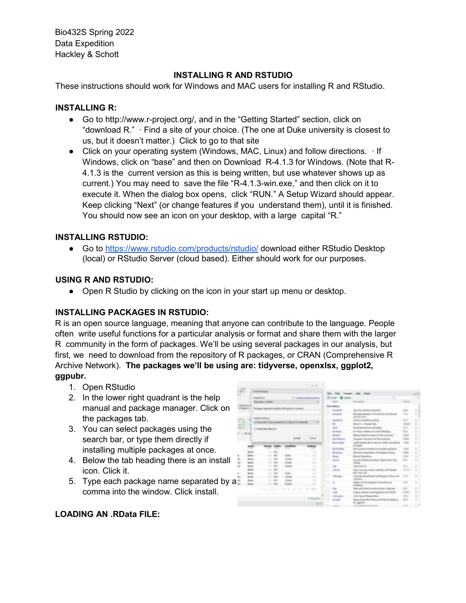Bio432S Spring 2022 Data Expedition Hackley & Schott

# **INSTALLING R AND RSTUDIO**

These instructions should work for Windows and MAC users for installing R and RStudio.

#### **INSTALLING R:**

- Go to http://www.r-project.org/, and in the "Getting Started" section, click on "download R." ∙ Find a site of your choice. (The one at Duke university is closest to us, but it doesn't matter.) Click to go to that site
- Click on your operating system (Windows, MAC, Linux) and follow directions. ∙ If Windows, click on "base" and then on Download R-4.1.3 for Windows. (Note that R-4.1.3 is the current version as this is being written, but use whatever shows up as current.) You may need to save the file "R-4.1.3-win.exe," and then click on it to execute it. When the dialog box opens, click "RUN." A Setup Wizard should appear. Keep clicking "Next" (or change features if you understand them), until it is finished. You should now see an icon on your desktop, with a large capital "R."

### **INSTALLING RSTUDIO:**

● Go to<https://www.rstudio.com/products/rstudio/> download either RStudio Desktop (local) or RStudio Server (cloud based). Either should work for our purposes.

### **USING R AND RSTUDIO:**

● Open R Studio by clicking on the icon in your start up menu or desktop.

## **INSTALLING PACKAGES IN RSTUDIO:**

R is an open source language, meaning that anyone can contribute to the language. People often write useful functions for a particular analysis or format and share them with the larger R community in the form of packages. We'll be using several packages in our analysis, but first, we need to download from the repository of R packages, or CRAN (Comprehensive R Archive Network). **The packages we'll be using are: tidyverse, openxlsx, ggplot2, ggpubr.**

- 1. Open RStudio
- 2. In the lower right quadrant is the help manual and package manager. Click on the packages tab.
- 3. You can select packages using the search bar, or type them directly if installing multiple packages at once.
- 4. Below the tab heading there is an install icon. Click it.
- 5. Type each package name separated by a comma into the window. Click install.



## **LOADING AN .RData FILE:**